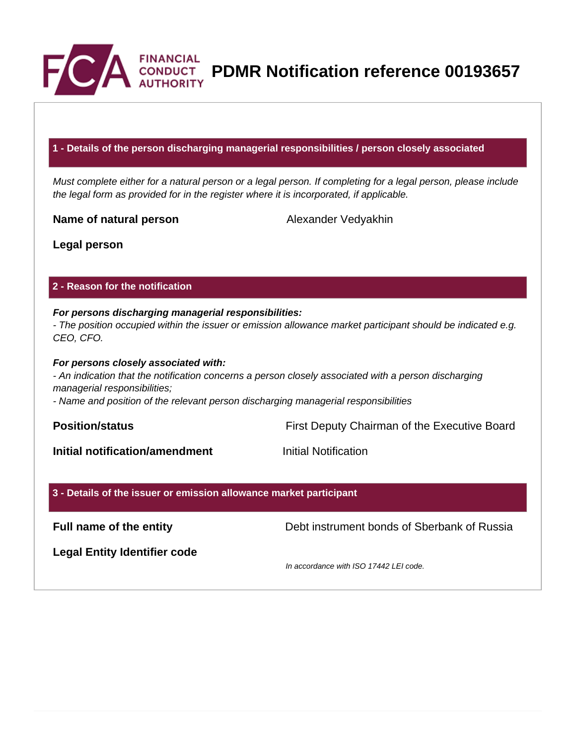

**PDMR Notification reference 00193657**<br>AUTHORITY

## **1 - Details of the person discharging managerial responsibilities / person closely associated**

Must complete either for a natural person or a legal person. If completing for a legal person, please include the legal form as provided for in the register where it is incorporated, if applicable.

**Name of natural person** Alexander Vedyakhin

**Legal person**

## **2 - Reason for the notification**

## **For persons discharging managerial responsibilities:**

- The position occupied within the issuer or emission allowance market participant should be indicated e.g. CEO, CFO.

## **For persons closely associated with:**

- An indication that the notification concerns a person closely associated with a person discharging managerial responsibilities;

- Name and position of the relevant person discharging managerial responsibilities

**Position/status Position/status First Deputy Chairman of the Executive Board** 

**Initial notification/amendment Initial Notification** 

## **3 - Details of the issuer or emission allowance market participant**

**Full name of the entity** Debt instrument bonds of Sberbank of Russia

**Legal Entity Identifier code**

In accordance with ISO 17442 LEI code.